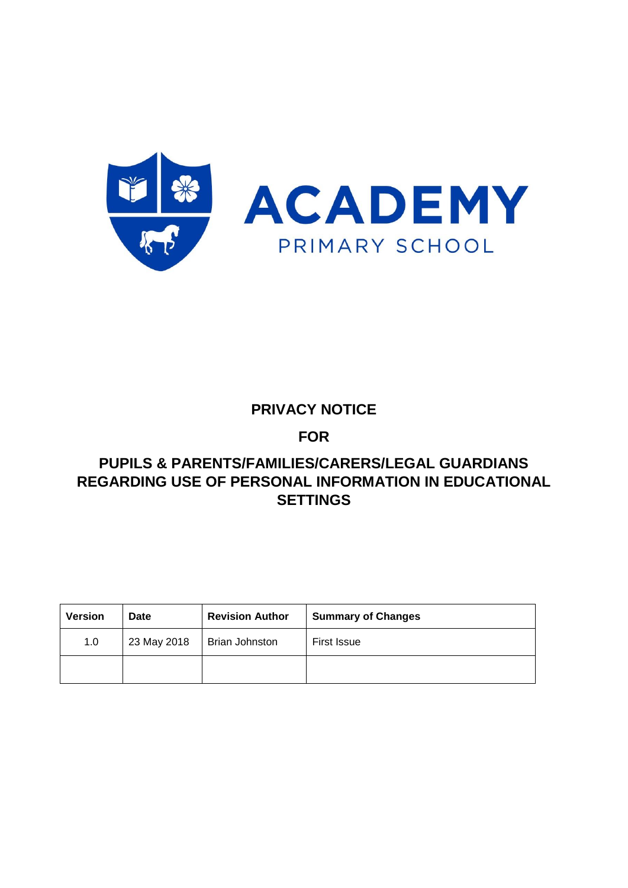



## **PRIVACY NOTICE**

**FOR** 

## **PUPILS & PARENTS/FAMILIES/CARERS/LEGAL GUARDIANS REGARDING USE OF PERSONAL INFORMATION IN EDUCATIONAL SETTINGS**

| <b>Version</b> | <b>Date</b> | <b>Revision Author</b> | <b>Summary of Changes</b> |
|----------------|-------------|------------------------|---------------------------|
| 1.0            | 23 May 2018 | <b>Brian Johnston</b>  | <b>First Issue</b>        |
|                |             |                        |                           |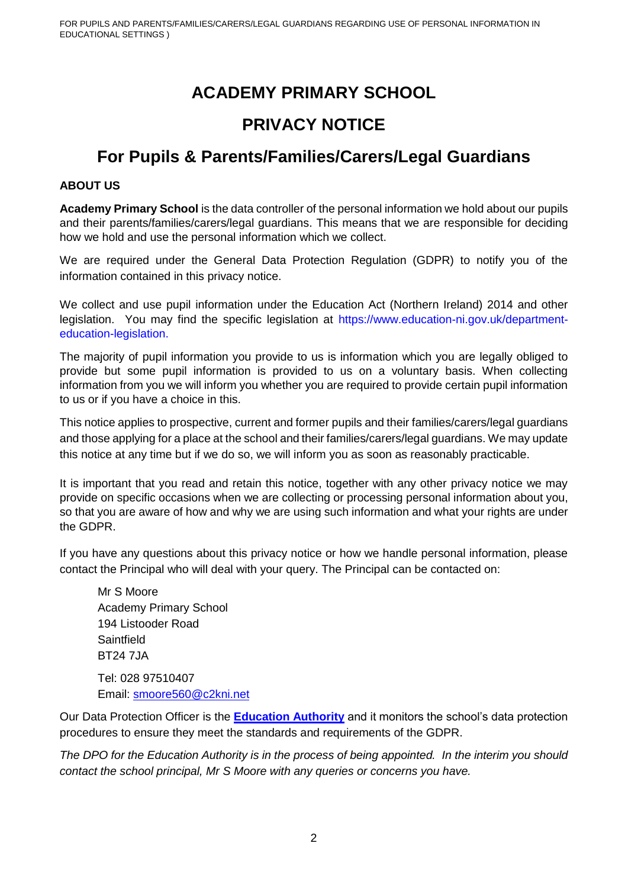# **ACADEMY PRIMARY SCHOOL**

## **PRIVACY NOTICE**

# **For Pupils & Parents/Families/Carers/Legal Guardians**

#### **ABOUT US**

**Academy Primary School** is the data controller of the personal information we hold about our pupils and their parents/families/carers/legal guardians. This means that we are responsible for deciding how we hold and use the personal information which we collect.

We are required under the General Data Protection Regulation (GDPR) to notify you of the information contained in this privacy notice.

We collect and use pupil information under the Education Act (Northern Ireland) 2014 and other legislation. You may find the specific legislation at https://www.education-ni.gov.uk/departmenteducation-legislation.

The majority of pupil information you provide to us is information which you are legally obliged to provide but some pupil information is provided to us on a voluntary basis. When collecting information from you we will inform you whether you are required to provide certain pupil information to us or if you have a choice in this.

This notice applies to prospective, current and former pupils and their families/carers/legal guardians and those applying for a place at the school and their families/carers/legal guardians. We may update this notice at any time but if we do so, we will inform you as soon as reasonably practicable.

It is important that you read and retain this notice, together with any other privacy notice we may provide on specific occasions when we are collecting or processing personal information about you, so that you are aware of how and why we are using such information and what your rights are under the GDPR.

If you have any questions about this privacy notice or how we handle personal information, please contact the Principal who will deal with your query. The Principal can be contacted on:

Mr S Moore Academy Primary School 194 Listooder Road **Saintfield** BT24 7JA Tel: 028 97510407 Email: [smoore560@c2kni.net](mailto:smoore560@c2kni.net)

Our Data Protection Officer is the **[Education Authority](http://www.eani.org.uk/)** and it monitors the school's data protection procedures to ensure they meet the standards and requirements of the GDPR.

*The DPO for the Education Authority is in the process of being appointed. In the interim you should contact the school principal, Mr S Moore with any queries or concerns you have.*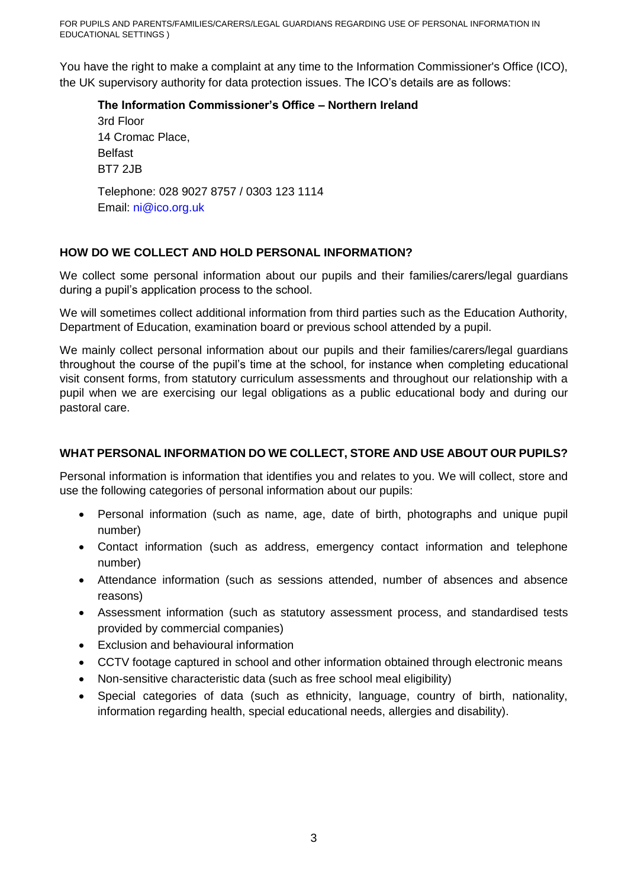You have the right to make a complaint at any time to the Information Commissioner's Office (ICO), the UK supervisory authority for data protection issues. The ICO's details are as follows:

#### **The Information Commissioner's Office – Northern Ireland**

3rd Floor 14 Cromac Place, Belfast BT7 2JB Telephone: 028 9027 8757 / 0303 123 1114 Email: ni@ico.org.uk

## **HOW DO WE COLLECT AND HOLD PERSONAL INFORMATION?**

We collect some personal information about our pupils and their families/carers/legal guardians during a pupil's application process to the school.

We will sometimes collect additional information from third parties such as the Education Authority, Department of Education, examination board or previous school attended by a pupil.

We mainly collect personal information about our pupils and their families/carers/legal guardians throughout the course of the pupil's time at the school, for instance when completing educational visit consent forms, from statutory curriculum assessments and throughout our relationship with a pupil when we are exercising our legal obligations as a public educational body and during our pastoral care.

## **WHAT PERSONAL INFORMATION DO WE COLLECT, STORE AND USE ABOUT OUR PUPILS?**

Personal information is information that identifies you and relates to you. We will collect, store and use the following categories of personal information about our pupils:

- Personal information (such as name, age, date of birth, photographs and unique pupil number)
- Contact information (such as address, emergency contact information and telephone number)
- Attendance information (such as sessions attended, number of absences and absence reasons)
- Assessment information (such as statutory assessment process, and standardised tests provided by commercial companies)
- Exclusion and behavioural information
- CCTV footage captured in school and other information obtained through electronic means
- Non-sensitive characteristic data (such as free school meal eligibility)
- Special categories of data (such as ethnicity, language, country of birth, nationality, information regarding health, special educational needs, allergies and disability).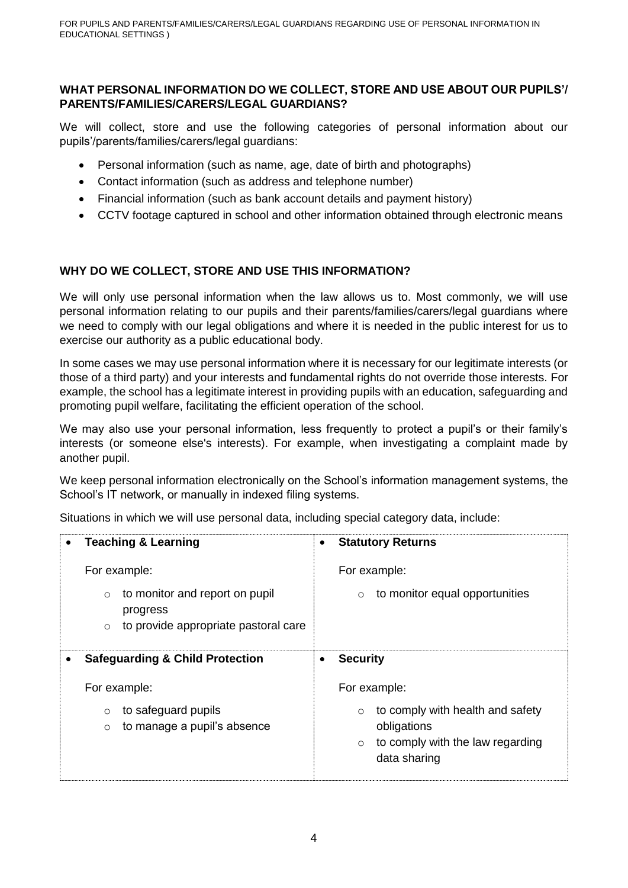## **WHAT PERSONAL INFORMATION DO WE COLLECT, STORE AND USE ABOUT OUR PUPILS'/ PARENTS/FAMILIES/CARERS/LEGAL GUARDIANS?**

We will collect, store and use the following categories of personal information about our pupils'/parents/families/carers/legal guardians:

- Personal information (such as name, age, date of birth and photographs)
- Contact information (such as address and telephone number)
- Financial information (such as bank account details and payment history)
- CCTV footage captured in school and other information obtained through electronic means

## **WHY DO WE COLLECT, STORE AND USE THIS INFORMATION?**

We will only use personal information when the law allows us to. Most commonly, we will use personal information relating to our pupils and their parents/families/carers/legal guardians where we need to comply with our legal obligations and where it is needed in the public interest for us to exercise our authority as a public educational body.

In some cases we may use personal information where it is necessary for our legitimate interests (or those of a third party) and your interests and fundamental rights do not override those interests. For example, the school has a legitimate interest in providing pupils with an education, safeguarding and promoting pupil welfare, facilitating the efficient operation of the school.

We may also use your personal information, less frequently to protect a pupil's or their family's interests (or someone else's interests). For example, when investigating a complaint made by another pupil.

We keep personal information electronically on the School's information management systems, the School's IT network, or manually in indexed filing systems.

Situations in which we will use personal data, including special category data, include:

| <b>Teaching &amp; Learning</b><br>$\bullet$                                                              | <b>Statutory Returns</b><br>$\bullet$                                                                                     |
|----------------------------------------------------------------------------------------------------------|---------------------------------------------------------------------------------------------------------------------------|
| For example:                                                                                             | For example:                                                                                                              |
| to monitor and report on pupil<br>$\circ$<br>progress<br>to provide appropriate pastoral care<br>$\circ$ | to monitor equal opportunities<br>$\circ$                                                                                 |
| <b>Safeguarding &amp; Child Protection</b>                                                               | <b>Security</b>                                                                                                           |
| For example:                                                                                             | For example:                                                                                                              |
| to safeguard pupils<br>$\circ$<br>to manage a pupil's absence<br>$\circ$                                 | to comply with health and safety<br>$\circ$<br>obligations<br>to comply with the law regarding<br>$\circ$<br>data sharing |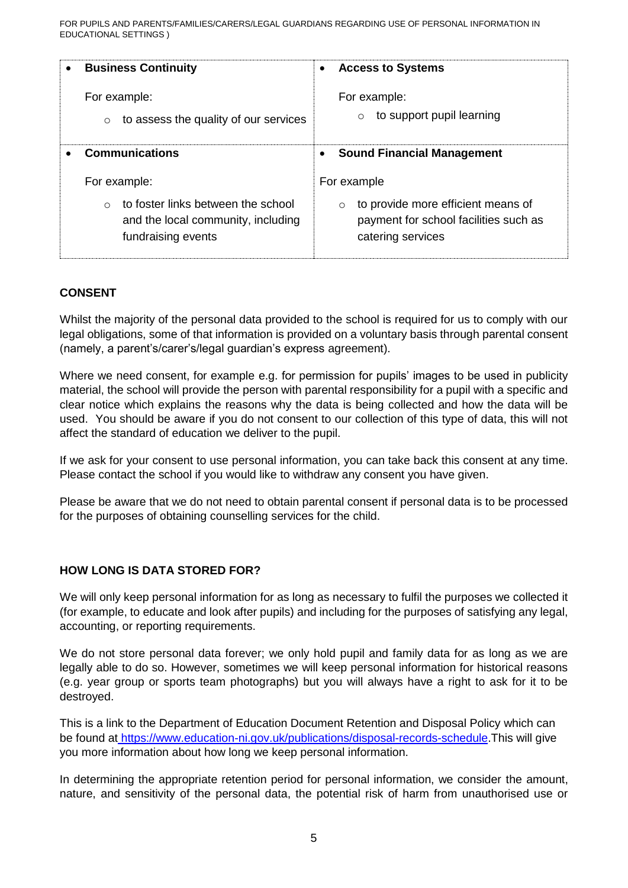FOR PUPILS AND PARENTS/FAMILIES/CARERS/LEGAL GUARDIANS REGARDING USE OF PERSONAL INFORMATION IN EDUCATIONAL SETTINGS )

| <b>Business Continuity</b>            | <b>Access to Systems</b>               |
|---------------------------------------|----------------------------------------|
| $\bullet$                             | $\bullet$                              |
| For example:                          | For example:                           |
| to assess the quality of our services | to support pupil learning              |
| $\circ$                               | $\circ$                                |
| <b>Communications</b>                 | <b>Sound Financial Management</b><br>٠ |
| For example:                          | For example                            |
| to foster links between the school    | to provide more efficient means of     |
| $\circ$                               | $\circ$                                |
| and the local community, including    | payment for school facilities such as  |
| fundraising events                    | catering services                      |

#### **CONSENT**

Whilst the majority of the personal data provided to the school is required for us to comply with our legal obligations, some of that information is provided on a voluntary basis through parental consent (namely, a parent's/carer's/legal guardian's express agreement).

Where we need consent, for example e.g. for permission for pupils' images to be used in publicity material, the school will provide the person with parental responsibility for a pupil with a specific and clear notice which explains the reasons why the data is being collected and how the data will be used. You should be aware if you do not consent to our collection of this type of data, this will not affect the standard of education we deliver to the pupil.

If we ask for your consent to use personal information, you can take back this consent at any time. Please contact the school if you would like to withdraw any consent you have given.

Please be aware that we do not need to obtain parental consent if personal data is to be processed for the purposes of obtaining counselling services for the child.

#### **HOW LONG IS DATA STORED FOR?**

We will only keep personal information for as long as necessary to fulfil the purposes we collected it (for example, to educate and look after pupils) and including for the purposes of satisfying any legal, accounting, or reporting requirements.

We do not store personal data forever; we only hold pupil and family data for as long as we are legally able to do so. However, sometimes we will keep personal information for historical reasons (e.g. year group or sports team photographs) but you will always have a right to ask for it to be destroyed.

This is a link to the Department of Education Document Retention and Disposal Policy which can be found at [https://www.education-ni.gov.uk/publications/disposal-records-schedule.](https://www.education-ni.gov.uk/publications/disposal-records-schedule)This will give you more information about how long we keep personal information.

In determining the appropriate retention period for personal information, we consider the amount, nature, and sensitivity of the personal data, the potential risk of harm from unauthorised use or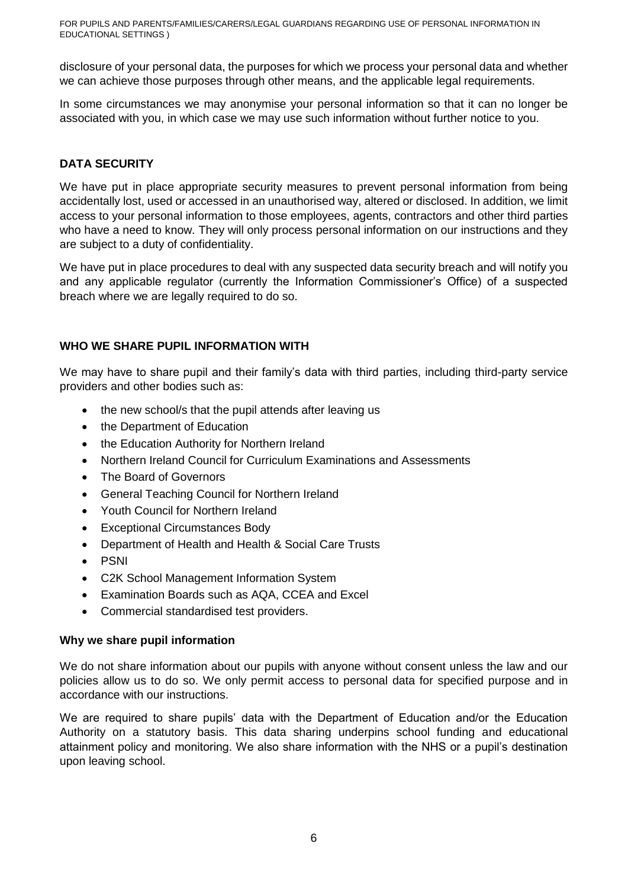FOR PUPILS AND PARENTS/FAMILIES/CARERS/LEGAL GUARDIANS REGARDING USE OF PERSONAL INFORMATION IN EDUCATIONAL SETTINGS )

disclosure of your personal data, the purposes for which we process your personal data and whether we can achieve those purposes through other means, and the applicable legal requirements.

In some circumstances we may anonymise your personal information so that it can no longer be associated with you, in which case we may use such information without further notice to you.

## **DATA SECURITY**

We have put in place appropriate security measures to prevent personal information from being accidentally lost, used or accessed in an unauthorised way, altered or disclosed. In addition, we limit access to your personal information to those employees, agents, contractors and other third parties who have a need to know. They will only process personal information on our instructions and they are subject to a duty of confidentiality.

We have put in place procedures to deal with any suspected data security breach and will notify you and any applicable regulator (currently the Information Commissioner's Office) of a suspected breach where we are legally required to do so.

#### **WHO WE SHARE PUPIL INFORMATION WITH**

We may have to share pupil and their family's data with third parties, including third-party service providers and other bodies such as:

- the new school/s that the pupil attends after leaving us
- the Department of Education
- the Education Authority for Northern Ireland
- Northern Ireland Council for Curriculum Examinations and Assessments
- The Board of Governors
- General Teaching Council for Northern Ireland
- Youth Council for Northern Ireland
- Exceptional Circumstances Body
- Department of Health and Health & Social Care Trusts
- PSNI
- C2K School Management Information System
- Examination Boards such as AQA, CCEA and Excel
- Commercial standardised test providers.

#### **Why we share pupil information**

We do not share information about our pupils with anyone without consent unless the law and our policies allow us to do so. We only permit access to personal data for specified purpose and in accordance with our instructions.

We are required to share pupils' data with the Department of Education and/or the Education Authority on a statutory basis. This data sharing underpins school funding and educational attainment policy and monitoring. We also share information with the NHS or a pupil's destination upon leaving school.